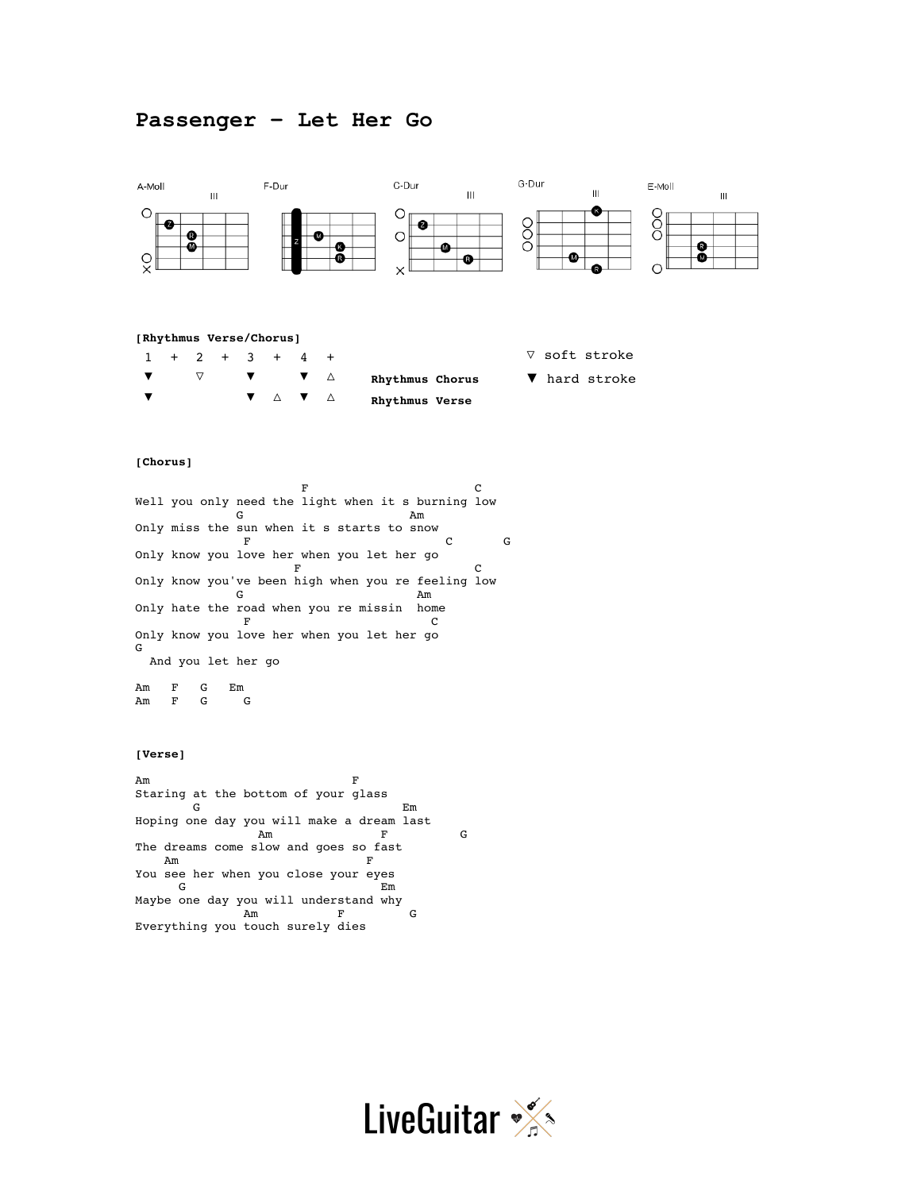# **Passenger – Let Her Go**



## **[Rhythmus Verse/Chorus]**

|  |  |                   | V A V A           | <b>Rhythmus Verse</b> |                      |  |
|--|--|-------------------|-------------------|-----------------------|----------------------|--|
|  |  |                   | $\bullet$ $\land$ | Rhythmus Chorus       | ▼ hard stroke        |  |
|  |  | $1 + 2 + 3 + 4 +$ |                   |                       | $\nabla$ soft stroke |  |

### **[Chorus]**

F C Well you only need the light when it s burning low G Am Only miss the sun when it s starts to snow F C G Only know you love her when you let her go F C Only know you've been high when you re feeling low G Am Only hate the road when you re missin home F C Only know you love her when you let her go G And you let her go

Am F G Em<br>Am F G G Am F G G

### **[Verse]**

Am F Staring at the bottom of your glass G Em Hoping one day you will make a dream last Am F G The dreams come slow and goes so fast Am F You see her when you close your eyes G Em Maybe one day you will understand why Am F G Everything you touch surely dies

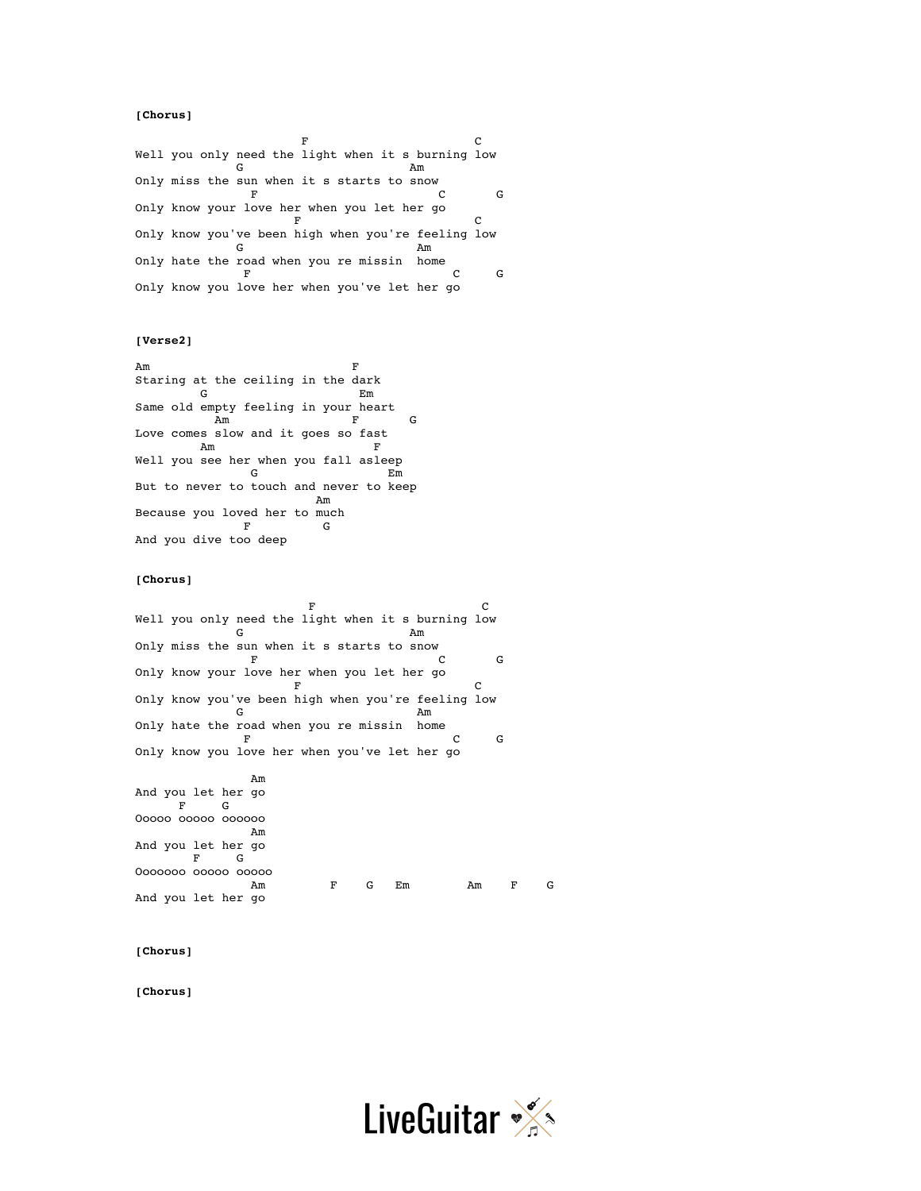### **[Chorus]**

F C Well you only need the light when it s burning low G Am Only miss the sun when it s starts to snow  $F$ F C G Only know your love her when you let her go  $F$ F C Only know you've been high when you're feeling low G Am Only hate the road when you re missin home F C G Only know you love her when you've let her go

#### **[Verse2]**

Am F Staring at the ceiling in the dark G Em Same old empty feeling in your heart Am F G Love comes slow and it goes so fast Am F Well you see her when you fall asleep G Em But to never to touch and never to keep Am Because you loved her to much F G And you dive too deep

#### **[Chorus]**

F C Well you only need the light when it s burning low G Am Only miss the sun when it s starts to snow F C G Only know your love her when you let her go  $F$ F C Only know you've been high when you're feeling low G Am Only hate the road when you re missin home F C G Only know you love her when you've let her go

**American** Service State American Service State American Service State American Service State American Service State American Service State American Service State American Service State American Service State American Serv And you let her go F G Ooooo ooooo oooooo Am And you let her go F G Ooooooo ooooo ooooo Am F G Em Am F G And you let her go

#### **[Chorus]**

**[Chorus]**